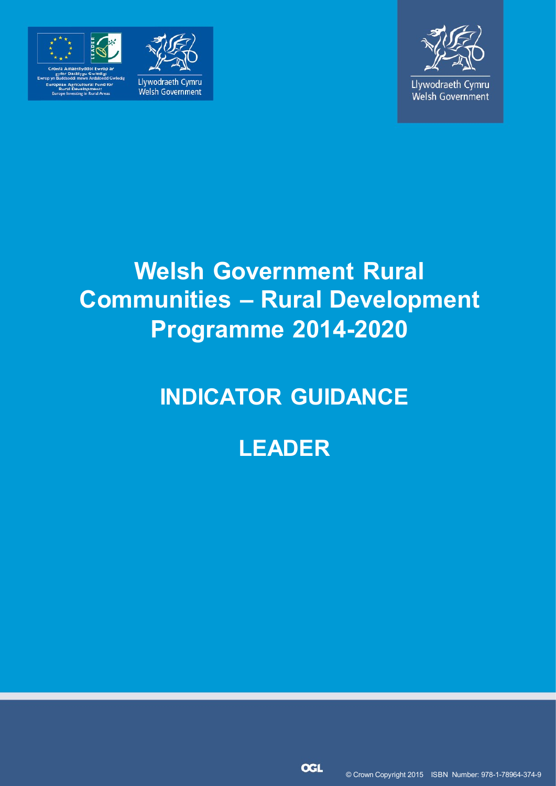

relopment:<br>na in Pressi Areas





Llywodraeth Cymru Welsh Government

# **Welsh Government Rural Communities – Rural Development Programme 2014-2020**

# **INDICATOR GUIDANCE**

## **LEADER**

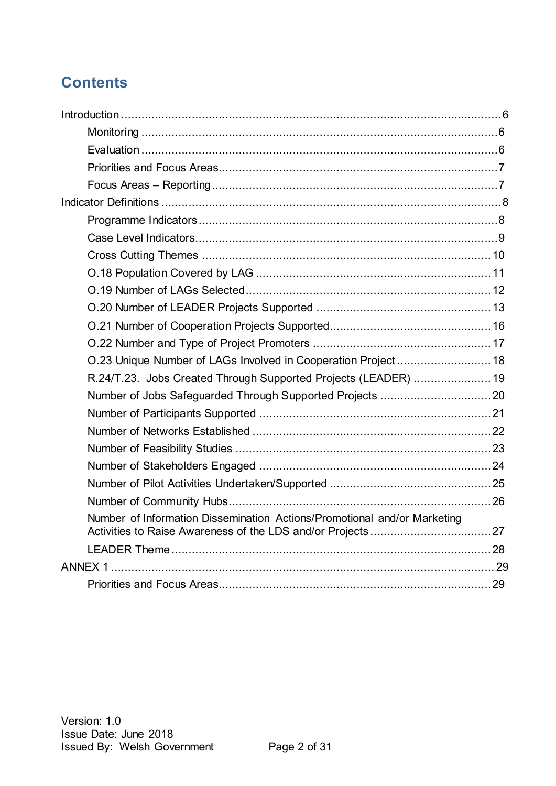## **Contents**

| R.24/T.23. Jobs Created Through Supported Projects (LEADER)  19          |  |
|--------------------------------------------------------------------------|--|
|                                                                          |  |
|                                                                          |  |
|                                                                          |  |
|                                                                          |  |
|                                                                          |  |
|                                                                          |  |
|                                                                          |  |
| Number of Information Dissemination Actions/Promotional and/or Marketing |  |
|                                                                          |  |
|                                                                          |  |
|                                                                          |  |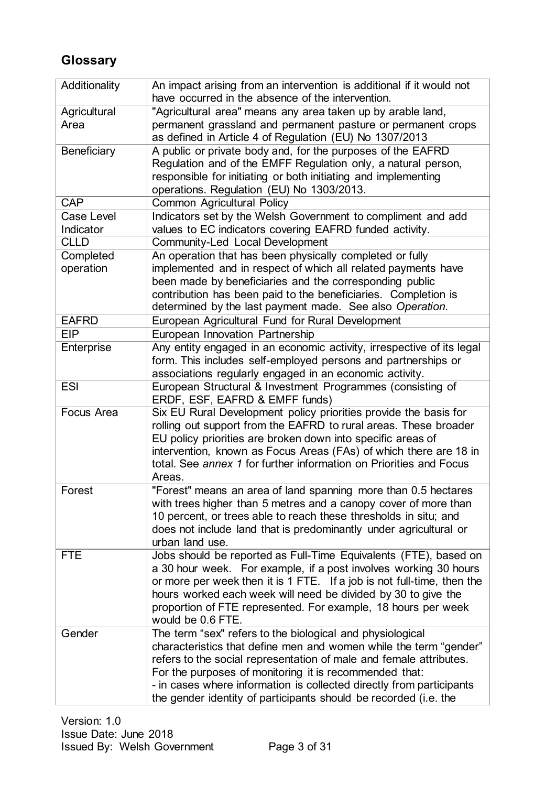## **Glossary**

| Additionality           | An impact arising from an intervention is additional if it would not<br>have occurred in the absence of the intervention.                                                                                                                                                                                                                                                                                  |
|-------------------------|------------------------------------------------------------------------------------------------------------------------------------------------------------------------------------------------------------------------------------------------------------------------------------------------------------------------------------------------------------------------------------------------------------|
| Agricultural<br>Area    | "Agricultural area" means any area taken up by arable land,<br>permanent grassland and permanent pasture or permanent crops                                                                                                                                                                                                                                                                                |
| Beneficiary             | as defined in Article 4 of Regulation (EU) No 1307/2013<br>A public or private body and, for the purposes of the EAFRD<br>Regulation and of the EMFF Regulation only, a natural person,<br>responsible for initiating or both initiating and implementing<br>operations. Regulation (EU) No 1303/2013.                                                                                                     |
| <b>CAP</b>              | Common Agricultural Policy                                                                                                                                                                                                                                                                                                                                                                                 |
| Case Level<br>Indicator | Indicators set by the Welsh Government to compliment and add<br>values to EC indicators covering EAFRD funded activity.                                                                                                                                                                                                                                                                                    |
| <b>CLLD</b>             | Community-Led Local Development                                                                                                                                                                                                                                                                                                                                                                            |
| Completed<br>operation  | An operation that has been physically completed or fully<br>implemented and in respect of which all related payments have<br>been made by beneficiaries and the corresponding public<br>contribution has been paid to the beneficiaries. Completion is<br>determined by the last payment made. See also Operation.                                                                                         |
| <b>EAFRD</b>            | European Agricultural Fund for Rural Development                                                                                                                                                                                                                                                                                                                                                           |
| <b>EIP</b>              | European Innovation Partnership                                                                                                                                                                                                                                                                                                                                                                            |
| Enterprise              | Any entity engaged in an economic activity, irrespective of its legal<br>form. This includes self-employed persons and partnerships or<br>associations regularly engaged in an economic activity.                                                                                                                                                                                                          |
| <b>ESI</b>              | European Structural & Investment Programmes (consisting of<br>ERDF, ESF, EAFRD & EMFF funds)                                                                                                                                                                                                                                                                                                               |
| Focus Area              | Six EU Rural Development policy priorities provide the basis for<br>rolling out support from the EAFRD to rural areas. These broader<br>EU policy priorities are broken down into specific areas of<br>intervention, known as Focus Areas (FAs) of which there are 18 in<br>total. See annex 1 for further information on Priorities and Focus<br>Areas.                                                   |
| Forest                  | "Forest" means an area of land spanning more than 0.5 hectares<br>with trees higher than 5 metres and a canopy cover of more than<br>10 percent, or trees able to reach these thresholds in situ; and<br>does not include land that is predominantly under agricultural or<br>urban land use.                                                                                                              |
| <b>FTE</b>              | Jobs should be reported as Full-Time Equivalents (FTE), based on<br>a 30 hour week. For example, if a post involves working 30 hours<br>or more per week then it is 1 FTE. If a job is not full-time, then the<br>hours worked each week will need be divided by 30 to give the<br>proportion of FTE represented. For example, 18 hours per week<br>would be 0.6 FTE.                                      |
| Gender                  | The term "sex" refers to the biological and physiological<br>characteristics that define men and women while the term "gender"<br>refers to the social representation of male and female attributes.<br>For the purposes of monitoring it is recommended that:<br>- in cases where information is collected directly from participants<br>the gender identity of participants should be recorded (i.e. the |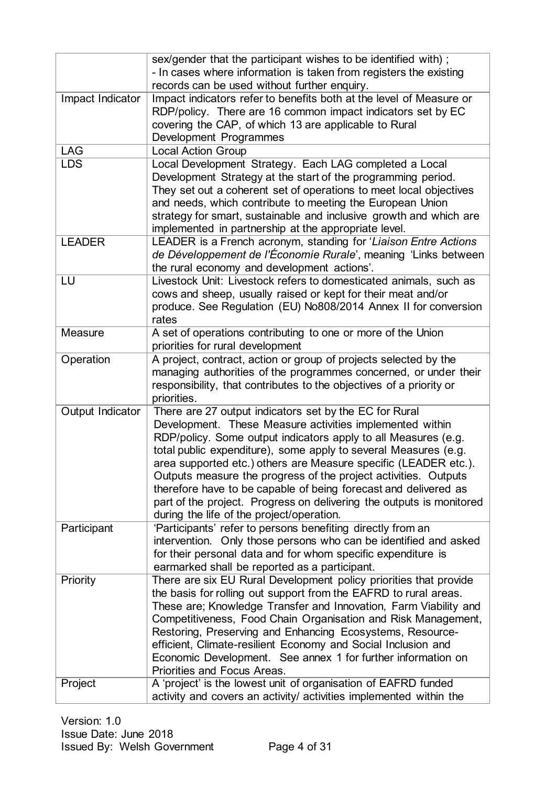|                  | sex/gender that the participant wishes to be identified with);                                                                       |
|------------------|--------------------------------------------------------------------------------------------------------------------------------------|
|                  | - In cases where information is taken from registers the existing                                                                    |
|                  | records can be used without further enquiry.                                                                                         |
| Impact Indicator | Impact indicators refer to benefits both at the level of Measure or                                                                  |
|                  | RDP/policy. There are 16 common impact indicators set by EC                                                                          |
|                  | covering the CAP, of which 13 are applicable to Rural                                                                                |
|                  | Development Programmes                                                                                                               |
| <b>LAG</b>       | <b>Local Action Group</b>                                                                                                            |
| <b>LDS</b>       | Local Development Strategy. Each LAG completed a Local                                                                               |
|                  | Development Strategy at the start of the programming period.                                                                         |
|                  | They set out a coherent set of operations to meet local objectives                                                                   |
|                  | and needs, which contribute to meeting the European Union                                                                            |
|                  | strategy for smart, sustainable and inclusive growth and which are                                                                   |
|                  | implemented in partnership at the appropriate level.                                                                                 |
| <b>LEADER</b>    | LEADER is a French acronym, standing for 'Liaison Entre Actions'                                                                     |
|                  | de Développement de l'Économie Rurale', meaning 'Links between                                                                       |
|                  | the rural economy and development actions'.                                                                                          |
| LU               | Livestock Unit: Livestock refers to domesticated animals, such as                                                                    |
|                  | cows and sheep, usually raised or kept for their meat and/or                                                                         |
|                  | produce. See Regulation (EU) No808/2014 Annex II for conversion                                                                      |
|                  | rates                                                                                                                                |
| <b>Measure</b>   | A set of operations contributing to one or more of the Union                                                                         |
|                  | priorities for rural development                                                                                                     |
| Operation        | A project, contract, action or group of projects selected by the                                                                     |
|                  | managing authorities of the programmes concerned, or under their                                                                     |
|                  | responsibility, that contributes to the objectives of a priority or                                                                  |
|                  | priorities.                                                                                                                          |
| Output Indicator | There are 27 output indicators set by the EC for Rural<br>Development. These Measure activities implemented within                   |
|                  | RDP/policy. Some output indicators apply to all Measures (e.g.                                                                       |
|                  | total public expenditure), some apply to several Measures (e.g.                                                                      |
|                  | area supported etc.) others are Measure specific (LEADER etc.).                                                                      |
|                  | Outputs measure the progress of the project activities. Outputs                                                                      |
|                  | therefore have to be capable of being forecast and delivered as                                                                      |
|                  | part of the project. Progress on delivering the outputs is monitored                                                                 |
|                  | during the life of the project/operation.                                                                                            |
| Participant      | 'Participants' refer to persons benefiting directly from an                                                                          |
|                  | intervention. Only those persons who can be identified and asked                                                                     |
|                  | for their personal data and for whom specific expenditure is                                                                         |
|                  | earmarked shall be reported as a participant.                                                                                        |
| Priority         | There are six EU Rural Development policy priorities that provide                                                                    |
|                  | the basis for rolling out support from the EAFRD to rural areas.                                                                     |
|                  | These are; Knowledge Transfer and Innovation, Farm Viability and                                                                     |
|                  | Competitiveness, Food Chain Organisation and Risk Management,                                                                        |
|                  | Restoring, Preserving and Enhancing Ecosystems, Resource-                                                                            |
|                  | efficient, Climate-resilient Economy and Social Inclusion and                                                                        |
|                  | Economic Development. See annex 1 for further information on                                                                         |
|                  | Priorities and Focus Areas.                                                                                                          |
|                  |                                                                                                                                      |
| Project          | A 'project' is the lowest unit of organisation of EAFRD funded<br>activity and covers an activity/ activities implemented within the |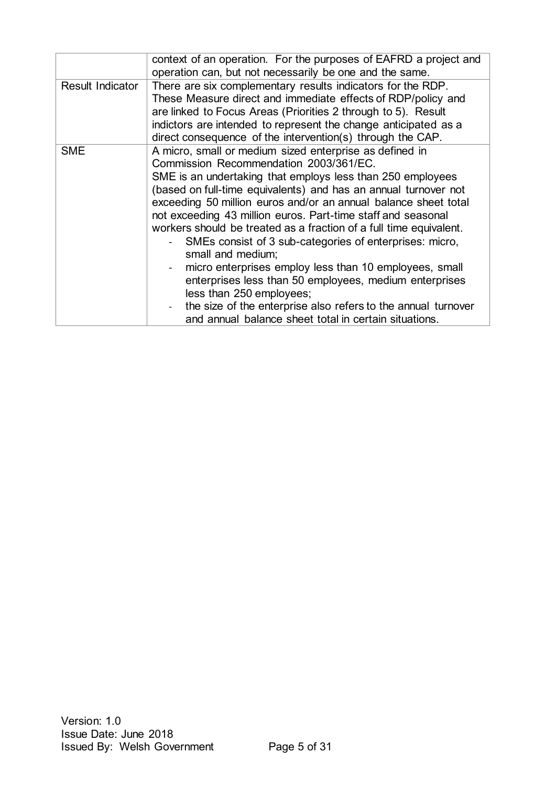|                  | context of an operation. For the purposes of EAFRD a project and<br>operation can, but not necessarily be one and the same.                                                                                                                                                                                                                                                                                                                                                                                                                                                                                                                                                                                                                                                                           |
|------------------|-------------------------------------------------------------------------------------------------------------------------------------------------------------------------------------------------------------------------------------------------------------------------------------------------------------------------------------------------------------------------------------------------------------------------------------------------------------------------------------------------------------------------------------------------------------------------------------------------------------------------------------------------------------------------------------------------------------------------------------------------------------------------------------------------------|
| Result Indicator | There are six complementary results indicators for the RDP.<br>These Measure direct and immediate effects of RDP/policy and<br>are linked to Focus Areas (Priorities 2 through to 5). Result<br>indictors are intended to represent the change anticipated as a<br>direct consequence of the intervention(s) through the CAP.                                                                                                                                                                                                                                                                                                                                                                                                                                                                         |
| <b>SME</b>       | A micro, small or medium sized enterprise as defined in<br>Commission Recommendation 2003/361/EC.<br>SME is an undertaking that employs less than 250 employees<br>(based on full-time equivalents) and has an annual turnover not<br>exceeding 50 million euros and/or an annual balance sheet total<br>not exceeding 43 million euros. Part-time staff and seasonal<br>workers should be treated as a fraction of a full time equivalent.<br>SMEs consist of 3 sub-categories of enterprises: micro,<br>small and medium;<br>micro enterprises employ less than 10 employees, small<br>enterprises less than 50 employees, medium enterprises<br>less than 250 employees;<br>the size of the enterprise also refers to the annual turnover<br>and annual balance sheet total in certain situations. |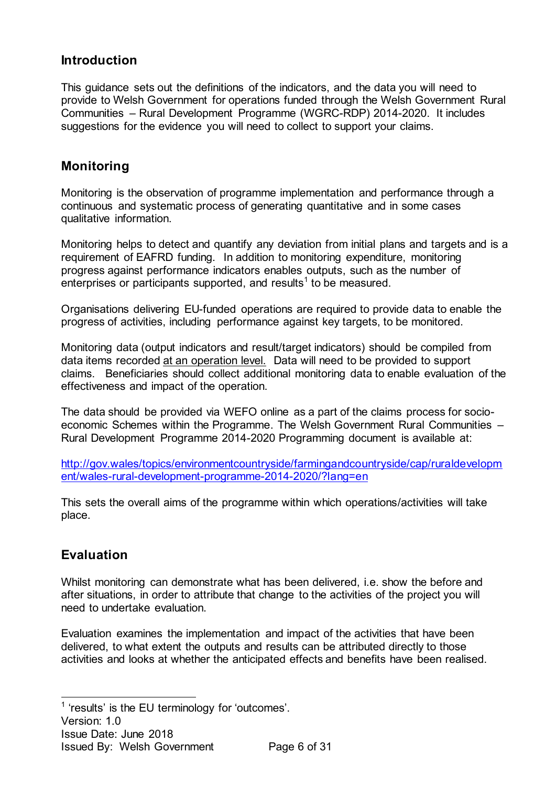## <span id="page-5-0"></span>**Introduction**

This guidance sets out the definitions of the indicators, and the data you will need to provide to Welsh Government for operations funded through the Welsh Government Rural Communities – Rural Development Programme (WGRC-RDP) 2014-2020. It includes suggestions for the evidence you will need to collect to support your claims.

## <span id="page-5-1"></span>**Monitoring**

Monitoring is the observation of programme implementation and performance through a continuous and systematic process of generating quantitative and in some cases qualitative information.

Monitoring helps to detect and quantify any deviation from initial plans and targets and is a requirement of EAFRD funding. In addition to monitoring expenditure, monitoring progress against performance indicators enables outputs, such as the number of enterprises or participants supported, and results<sup>1</sup> to be measured.

Organisations delivering EU-funded operations are required to provide data to enable the progress of activities, including performance against key targets, to be monitored.

Monitoring data (output indicators and result/target indicators) should be compiled from data items recorded at an operation level. Data will need to be provided to support claims. Beneficiaries should collect additional monitoring data to enable evaluation of the effectiveness and impact of the operation.

The data should be provided via WEFO online as a part of the claims process for socioeconomic Schemes within the Programme. The Welsh Government Rural Communities – Rural Development Programme 2014-2020 Programming document is available at:

[http://gov.wales/topics/environmentcountryside/farmingandcountryside/cap/ruraldevelopm](http://gov.wales/topics/environmentcountryside/farmingandcountryside/cap/ruraldevelopment/wales-rural-development-programme-2014-2020/?lang=en) [ent/wales-rural-development-programme-2014-2020/?lang=en](http://gov.wales/topics/environmentcountryside/farmingandcountryside/cap/ruraldevelopment/wales-rural-development-programme-2014-2020/?lang=en)

This sets the overall aims of the programme within which operations/activities will take place.

## <span id="page-5-2"></span>**Evaluation**

Whilst monitoring can demonstrate what has been delivered, i.e. show the before and after situations, in order to attribute that change to the activities of the project you will need to undertake evaluation.

Evaluation examines the implementation and impact of the activities that have been delivered, to what extent the outputs and results can be attributed directly to those activities and looks at whether the anticipated effects and benefits have been realised.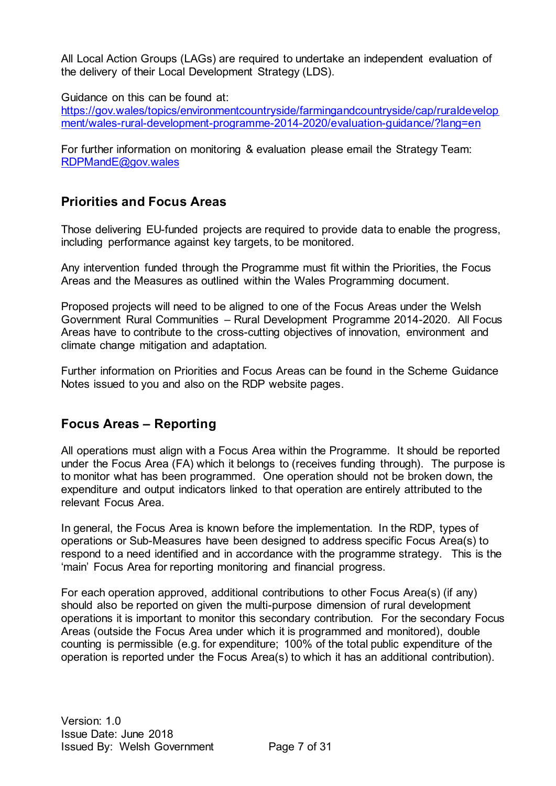All Local Action Groups (LAGs) are required to undertake an independent evaluation of the delivery of their Local Development Strategy (LDS).

Guidance on this can be found at:

[https://gov.wales/topics/environmentcountryside/farmingandcountryside/cap/ruraldevelop](https://gov.wales/topics/environmentcountryside/farmingandcountryside/cap/ruraldevelopment/wales-rural-development-programme-2014-2020/evaluation-guidance/?lang=en) [ment/wales-rural-development-programme-2014-2020/evaluation-guidance/?lang=en](https://gov.wales/topics/environmentcountryside/farmingandcountryside/cap/ruraldevelopment/wales-rural-development-programme-2014-2020/evaluation-guidance/?lang=en)

For further information on monitoring & evaluation please email the Strategy Team: [RDPMandE@gov.wales](mailto:RDPMandE@gov.wales)

## <span id="page-6-0"></span>**Priorities and Focus Areas**

Those delivering EU-funded projects are required to provide data to enable the progress, including performance against key targets, to be monitored.

Any intervention funded through the Programme must fit within the Priorities, the Focus Areas and the Measures as outlined within the Wales Programming document.

Proposed projects will need to be aligned to one of the Focus Areas under the Welsh Government Rural Communities – Rural Development Programme 2014-2020. All Focus Areas have to contribute to the cross-cutting objectives of innovation, environment and climate change mitigation and adaptation.

Further information on Priorities and Focus Areas can be found in the Scheme Guidance Notes issued to you and also on the RDP website pages.

## <span id="page-6-1"></span>**Focus Areas – Reporting**

All operations must align with a Focus Area within the Programme. It should be reported under the Focus Area (FA) which it belongs to (receives funding through). The purpose is to monitor what has been programmed. One operation should not be broken down, the expenditure and output indicators linked to that operation are entirely attributed to the relevant Focus Area.

In general, the Focus Area is known before the implementation. In the RDP, types of operations or Sub-Measures have been designed to address specific Focus Area(s) to respond to a need identified and in accordance with the programme strategy. This is the 'main' Focus Area for reporting monitoring and financial progress.

For each operation approved, additional contributions to other Focus Area(s) (if any) should also be reported on given the multi-purpose dimension of rural development operations it is important to monitor this secondary contribution. For the secondary Focus Areas (outside the Focus Area under which it is programmed and monitored), double counting is permissible (e.g. for expenditure; 100% of the total public expenditure of the operation is reported under the Focus Area(s) to which it has an additional contribution).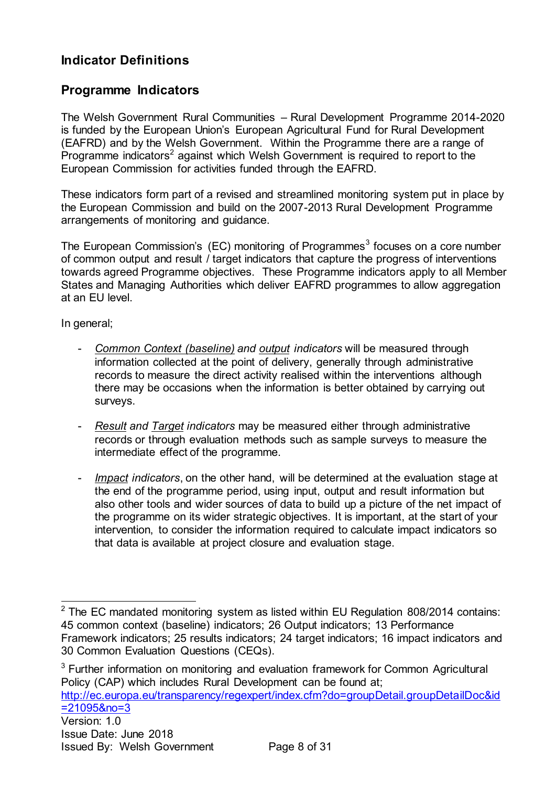## <span id="page-7-0"></span>**Indicator Definitions**

## <span id="page-7-1"></span>**Programme Indicators**

The Welsh Government Rural Communities – Rural Development Programme 2014-2020 is funded by the European Union's European Agricultural Fund for Rural Development (EAFRD) and by the Welsh Government. Within the Programme there are a range of Programme indicators<sup>2</sup> against which Welsh Government is required to report to the European Commission for activities funded through the EAFRD.

These indicators form part of a revised and streamlined monitoring system put in place by the European Commission and build on the 2007-2013 Rural Development Programme arrangements of monitoring and guidance.

The European Commission's (EC) monitoring of Programmes<sup>3</sup> focuses on a core number of common output and result / target indicators that capture the progress of interventions towards agreed Programme objectives. These Programme indicators apply to all Member States and Managing Authorities which deliver EAFRD programmes to allow aggregation at an EU level.

In general;

- *Common Context (baseline) and output indicators* will be measured through information collected at the point of delivery, generally through administrative records to measure the direct activity realised within the interventions although there may be occasions when the information is better obtained by carrying out surveys.
- *Result and Target indicators* may be measured either through administrative records or through evaluation methods such as sample surveys to measure the intermediate effect of the programme.
- *Impact indicators*, on the other hand, will be determined at the evaluation stage at the end of the programme period, using input, output and result information but also other tools and wider sources of data to build up a picture of the net impact of the programme on its wider strategic objectives. It is important, at the start of your intervention, to consider the information required to calculate impact indicators so that data is available at project closure and evaluation stage.

<sup>3</sup> Further information on monitoring and evaluation framework for Common Agricultural Policy (CAP) which includes Rural Development can be found at;

[http://ec.europa.eu/transparency/regexpert/index.cfm?do=groupDetail.groupDetailDoc&id](http://ec.europa.eu/transparency/regexpert/index.cfm?do=groupDetail.groupDetailDoc&id=21095&no=3) [=21095&no=3](http://ec.europa.eu/transparency/regexpert/index.cfm?do=groupDetail.groupDetailDoc&id=21095&no=3)

 $\overline{a}$  $2$  The EC mandated monitoring system as listed within EU Regulation 808/2014 contains: 45 common context (baseline) indicators; 26 Output indicators; 13 Performance Framework indicators; 25 results indicators; 24 target indicators; 16 impact indicators and 30 Common Evaluation Questions (CEQs).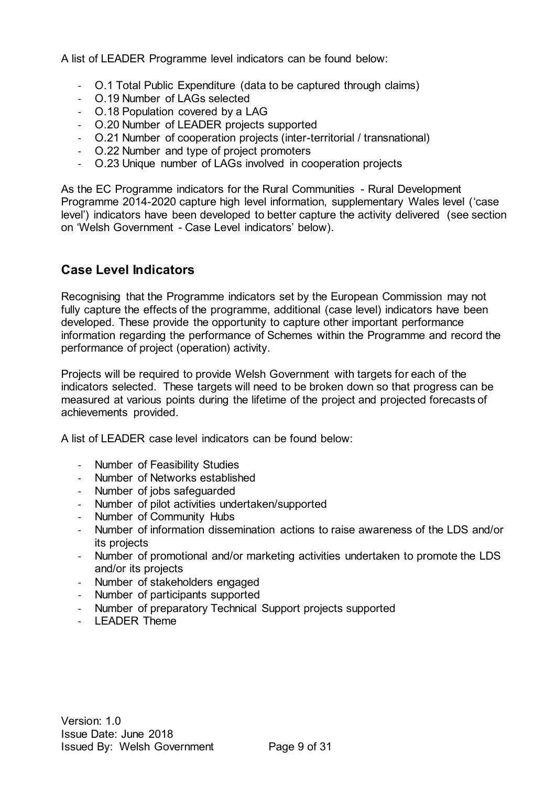A list of LEADER Programme level indicators can be found below:

- O.1 Total Public Expenditure (data to be captured through claims)
- O.19 Number of LAGs selected
- O.18 Population covered by a LAG
- O.20 Number of LEADER projects supported
- O.21 Number of cooperation projects (inter-territorial / transnational)
- O.22 Number and type of project promoters
- O.23 Unique number of LAGs involved in cooperation projects

As the EC Programme indicators for the Rural Communities - Rural Development Programme 2014-2020 capture high level information, supplementary Wales level ('case level') indicators have been developed to better capture the activity delivered (see section on 'Welsh Government - Case Level indicators' below).

### <span id="page-8-0"></span>**Case Level Indicators**

Recognising that the Programme indicators set by the European Commission may not fully capture the effects of the programme, additional (case level) indicators have been developed. These provide the opportunity to capture other important performance information regarding the performance of Schemes within the Programme and record the performance of project (operation) activity.

Projects will be required to provide Welsh Government with targets for each of the indicators selected. These targets will need to be broken down so that progress can be measured at various points during the lifetime of the project and projected forecasts of achievements provided.

A list of LEADER case level indicators can be found below:

- Number of Feasibility Studies
- Number of Networks established
- Number of jobs safeguarded
- Number of pilot activities undertaken/supported
- Number of Community Hubs
- Number of information dissemination actions to raise awareness of the LDS and/or its projects
- Number of promotional and/or marketing activities undertaken to promote the LDS and/or its projects
- Number of stakeholders engaged
- Number of participants supported
- Number of preparatory Technical Support projects supported
- LEADER Theme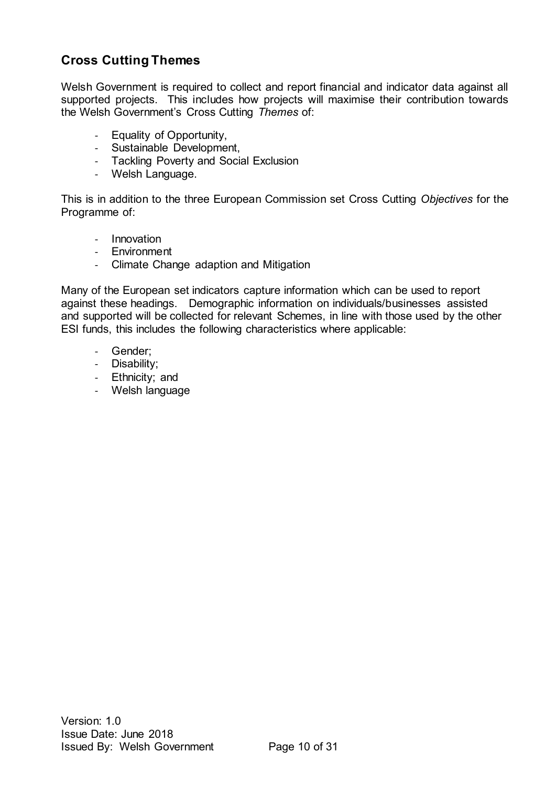## <span id="page-9-0"></span>**Cross Cutting Themes**

Welsh Government is required to collect and report financial and indicator data against all supported projects. This includes how projects will maximise their contribution towards the Welsh Government's Cross Cutting *Themes* of:

- Equality of Opportunity,
- Sustainable Development,
- Tackling Poverty and Social Exclusion
- Welsh Language.

This is in addition to the three European Commission set Cross Cutting *Objectives* for the Programme of:

- Innovation
- Environment
- Climate Change adaption and Mitigation

Many of the European set indicators capture information which can be used to report against these headings. Demographic information on individuals/businesses assisted and supported will be collected for relevant Schemes, in line with those used by the other ESI funds, this includes the following characteristics where applicable:

- Gender;
- Disability;
- Ethnicity; and
- Welsh language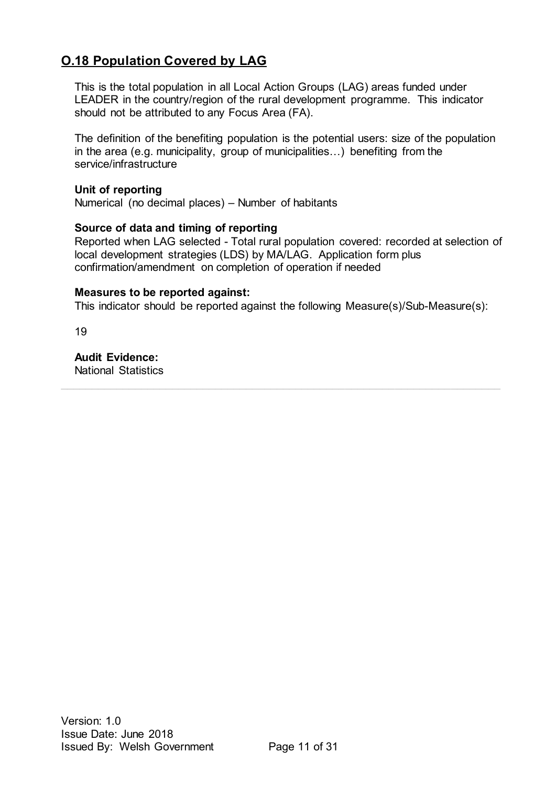## <span id="page-10-0"></span>**O.18 Population Covered by LAG**

This is the total population in all Local Action Groups (LAG) areas funded under LEADER in the country/region of the rural development programme. This indicator should not be attributed to any Focus Area (FA).

The definition of the benefiting population is the potential users: size of the population in the area (e.g. municipality, group of municipalities…) benefiting from the service/infrastructure

#### **Unit of reporting**

Numerical (no decimal places) – Number of habitants

#### **Source of data and timing of reporting**

Reported when LAG selected - Total rural population covered: recorded at selection of local development strategies (LDS) by MA/LAG. Application form plus confirmation/amendment on completion of operation if needed

#### **Measures to be reported against:**

This indicator should be reported against the following Measure(s)/Sub-Measure(s):

 $\_$  , and the state of the state of the state of the state of the state of the state of the state of the state of the state of the state of the state of the state of the state of the state of the state of the state of the

19

**Audit Evidence:** National Statistics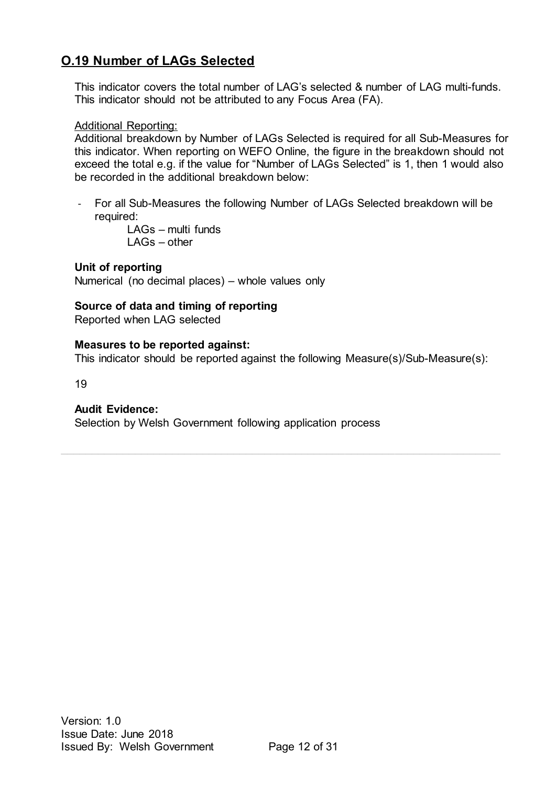## <span id="page-11-0"></span>**O.19 Number of LAGs Selected**

This indicator covers the total number of LAG's selected & number of LAG multi-funds. This indicator should not be attributed to any Focus Area (FA).

#### Additional Reporting:

Additional breakdown by Number of LAGs Selected is required for all Sub-Measures for this indicator. When reporting on WEFO Online, the figure in the breakdown should not exceed the total e.g. if the value for "Number of LAGs Selected" is 1, then 1 would also be recorded in the additional breakdown below:

- For all Sub-Measures the following Number of LAGs Selected breakdown will be required:

LAGs – multi funds LAGs – other

#### **Unit of reporting**

Numerical (no decimal places) – whole values only

#### **Source of data and timing of reporting**

Reported when LAG selected

#### **Measures to be reported against:**

This indicator should be reported against the following Measure(s)/Sub-Measure(s):

 $\_$  , and the state of the state of the state of the state of the state of the state of the state of the state of the state of the state of the state of the state of the state of the state of the state of the state of the

19

#### **Audit Evidence:**

Selection by Welsh Government following application process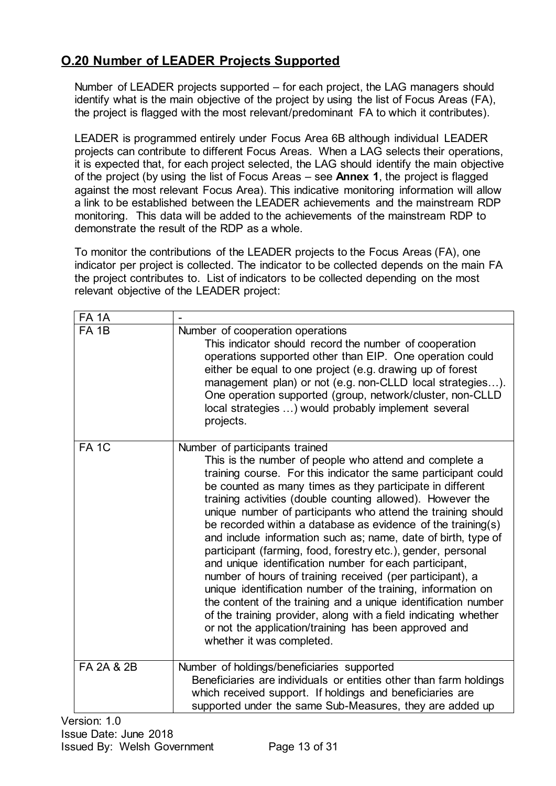## <span id="page-12-0"></span>**O.20 Number of LEADER Projects Supported**

Number of LEADER projects supported – for each project, the LAG managers should identify what is the main objective of the project by using the list of Focus Areas (FA), the project is flagged with the most relevant/predominant FA to which it contributes).

LEADER is programmed entirely under Focus Area 6B although individual LEADER projects can contribute to different Focus Areas. When a LAG selects their operations, it is expected that, for each project selected, the LAG should identify the main objective of the project (by using the list of Focus Areas – see **Annex 1**, the project is flagged against the most relevant Focus Area). This indicative monitoring information will allow a link to be established between the LEADER achievements and the mainstream RDP monitoring. This data will be added to the achievements of the mainstream RDP to demonstrate the result of the RDP as a whole.

To monitor the contributions of the LEADER projects to the Focus Areas (FA), one indicator per project is collected. The indicator to be collected depends on the main FA the project contributes to. List of indicators to be collected depending on the most relevant objective of the LEADER project:

| <b>FA 1A</b>          |                                                                                                                                                                                                                                                                                                                                                                                                                                                                                                                                                                                                                                                                                                                                                                                                                                                                                                                                                                          |
|-----------------------|--------------------------------------------------------------------------------------------------------------------------------------------------------------------------------------------------------------------------------------------------------------------------------------------------------------------------------------------------------------------------------------------------------------------------------------------------------------------------------------------------------------------------------------------------------------------------------------------------------------------------------------------------------------------------------------------------------------------------------------------------------------------------------------------------------------------------------------------------------------------------------------------------------------------------------------------------------------------------|
| FA <sub>1B</sub>      | Number of cooperation operations<br>This indicator should record the number of cooperation<br>operations supported other than EIP. One operation could<br>either be equal to one project (e.g. drawing up of forest<br>management plan) or not (e.g. non-CLLD local strategies).<br>One operation supported (group, network/cluster, non-CLLD<br>local strategies ) would probably implement several<br>projects.                                                                                                                                                                                                                                                                                                                                                                                                                                                                                                                                                        |
| FA <sub>1C</sub>      | Number of participants trained<br>This is the number of people who attend and complete a<br>training course. For this indicator the same participant could<br>be counted as many times as they participate in different<br>training activities (double counting allowed). However the<br>unique number of participants who attend the training should<br>be recorded within a database as evidence of the training(s)<br>and include information such as; name, date of birth, type of<br>participant (farming, food, forestry etc.), gender, personal<br>and unique identification number for each participant,<br>number of hours of training received (per participant), a<br>unique identification number of the training, information on<br>the content of the training and a unique identification number<br>of the training provider, along with a field indicating whether<br>or not the application/training has been approved and<br>whether it was completed. |
| <b>FA 2A &amp; 2B</b> | Number of holdings/beneficiaries supported<br>Beneficiaries are individuals or entities other than farm holdings<br>which received support. If holdings and beneficiaries are<br>supported under the same Sub-Measures, they are added up                                                                                                                                                                                                                                                                                                                                                                                                                                                                                                                                                                                                                                                                                                                                |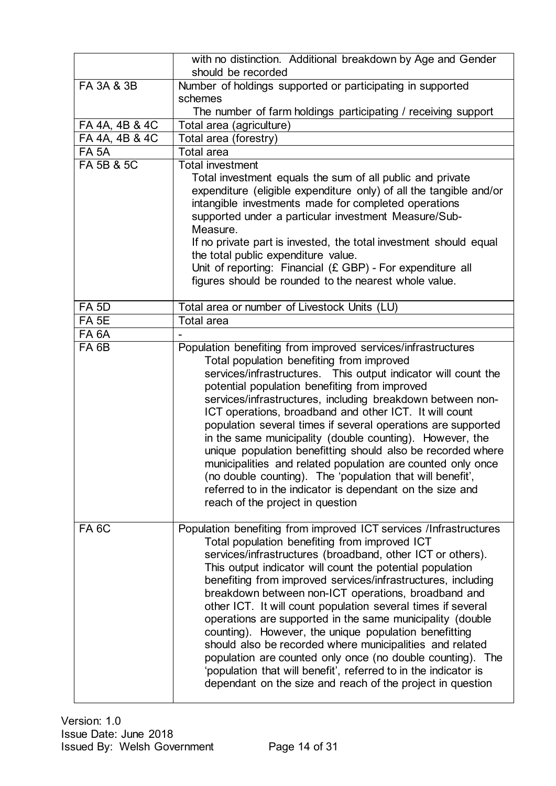|                       | with no distinction. Additional breakdown by Age and Gender<br>should be recorded                                                                                                                                                                                                                                                                                                                                                                                                                                                                                                                                                                                                                                                                                                                                     |
|-----------------------|-----------------------------------------------------------------------------------------------------------------------------------------------------------------------------------------------------------------------------------------------------------------------------------------------------------------------------------------------------------------------------------------------------------------------------------------------------------------------------------------------------------------------------------------------------------------------------------------------------------------------------------------------------------------------------------------------------------------------------------------------------------------------------------------------------------------------|
| FA 3A & 3B            | Number of holdings supported or participating in supported                                                                                                                                                                                                                                                                                                                                                                                                                                                                                                                                                                                                                                                                                                                                                            |
|                       | schemes                                                                                                                                                                                                                                                                                                                                                                                                                                                                                                                                                                                                                                                                                                                                                                                                               |
|                       | The number of farm holdings participating / receiving support                                                                                                                                                                                                                                                                                                                                                                                                                                                                                                                                                                                                                                                                                                                                                         |
| FA 4A, 4B & 4C        | Total area (agriculture)                                                                                                                                                                                                                                                                                                                                                                                                                                                                                                                                                                                                                                                                                                                                                                                              |
| FA 4A, 4B & 4C        | Total area (forestry)                                                                                                                                                                                                                                                                                                                                                                                                                                                                                                                                                                                                                                                                                                                                                                                                 |
| <b>FA 5A</b>          | <b>Total area</b>                                                                                                                                                                                                                                                                                                                                                                                                                                                                                                                                                                                                                                                                                                                                                                                                     |
| <b>FA 5B &amp; 5C</b> | <b>Total investment</b>                                                                                                                                                                                                                                                                                                                                                                                                                                                                                                                                                                                                                                                                                                                                                                                               |
|                       | Total investment equals the sum of all public and private<br>expenditure (eligible expenditure only) of all the tangible and/or<br>intangible investments made for completed operations<br>supported under a particular investment Measure/Sub-<br>Measure.                                                                                                                                                                                                                                                                                                                                                                                                                                                                                                                                                           |
|                       | If no private part is invested, the total investment should equal<br>the total public expenditure value.<br>Unit of reporting: Financial (£ GBP) - For expenditure all<br>figures should be rounded to the nearest whole value.                                                                                                                                                                                                                                                                                                                                                                                                                                                                                                                                                                                       |
|                       |                                                                                                                                                                                                                                                                                                                                                                                                                                                                                                                                                                                                                                                                                                                                                                                                                       |
| <b>FA 5D</b>          | Total area or number of Livestock Units (LU)                                                                                                                                                                                                                                                                                                                                                                                                                                                                                                                                                                                                                                                                                                                                                                          |
| FA <sub>5E</sub>      | <b>Total area</b>                                                                                                                                                                                                                                                                                                                                                                                                                                                                                                                                                                                                                                                                                                                                                                                                     |
| FA <sub>6</sub> A     |                                                                                                                                                                                                                                                                                                                                                                                                                                                                                                                                                                                                                                                                                                                                                                                                                       |
| FA <sub>6B</sub>      | Population benefiting from improved services/infrastructures<br>Total population benefiting from improved<br>services/infrastructures. This output indicator will count the<br>potential population benefiting from improved<br>services/infrastructures, including breakdown between non-<br>ICT operations, broadband and other ICT. It will count<br>population several times if several operations are supported<br>in the same municipality (double counting). However, the<br>unique population benefitting should also be recorded where<br>municipalities and related population are counted only once<br>(no double counting). The 'population that will benefit',<br>referred to in the indicator is dependant on the size and<br>reach of the project in question                                          |
| FA <sub>6</sub> C     | Population benefiting from improved ICT services /Infrastructures<br>Total population benefiting from improved ICT<br>services/infrastructures (broadband, other ICT or others).<br>This output indicator will count the potential population<br>benefiting from improved services/infrastructures, including<br>breakdown between non-ICT operations, broadband and<br>other ICT. It will count population several times if several<br>operations are supported in the same municipality (double<br>counting). However, the unique population benefitting<br>should also be recorded where municipalities and related<br>population are counted only once (no double counting). The<br>'population that will benefit', referred to in the indicator is<br>dependant on the size and reach of the project in question |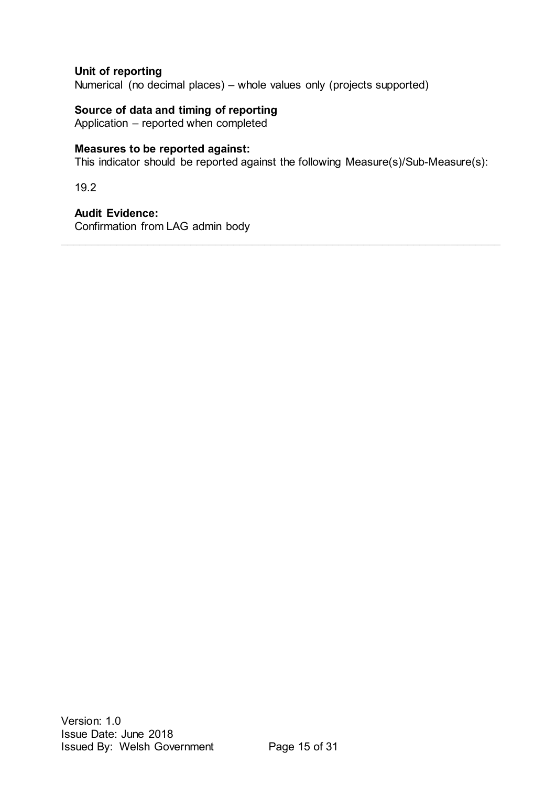#### **Unit of reporting**

Numerical (no decimal places) – whole values only (projects supported)

#### **Source of data and timing of reporting**

Application – reported when completed

#### **Measures to be reported against:**

This indicator should be reported against the following Measure(s)/Sub-Measure(s):

19.2

## **Audit Evidence:**

Confirmation from LAG admin body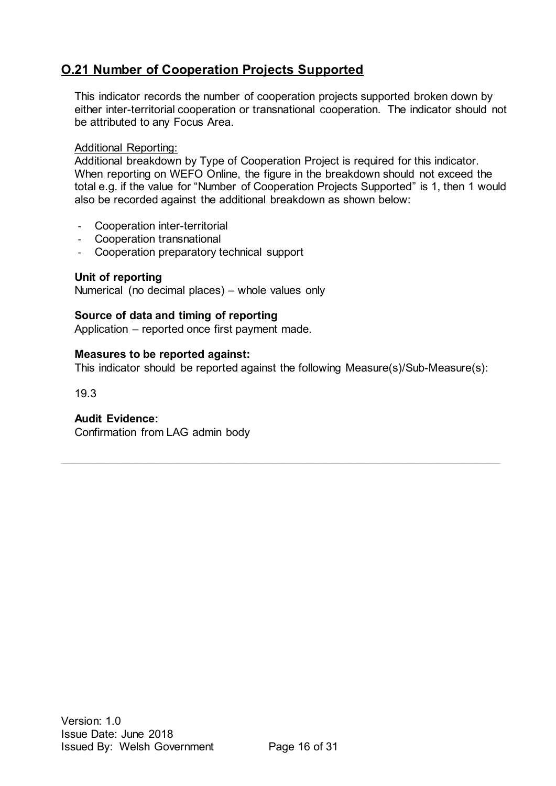## <span id="page-15-0"></span>**O.21 Number of Cooperation Projects Supported**

This indicator records the number of cooperation projects supported broken down by either inter-territorial cooperation or transnational cooperation. The indicator should not be attributed to any Focus Area.

#### Additional Reporting:

Additional breakdown by Type of Cooperation Project is required for this indicator. When reporting on WEFO Online, the figure in the breakdown should not exceed the total e.g. if the value for "Number of Cooperation Projects Supported" is 1, then 1 would also be recorded against the additional breakdown as shown below:

- Cooperation inter-territorial
- Cooperation transnational
- Cooperation preparatory technical support

#### **Unit of reporting**

Numerical (no decimal places) – whole values only

#### **Source of data and timing of reporting**

Application – reported once first payment made.

#### **Measures to be reported against:**

This indicator should be reported against the following Measure(s)/Sub-Measure(s):

19.3

#### **Audit Evidence:**

Confirmation from LAG admin body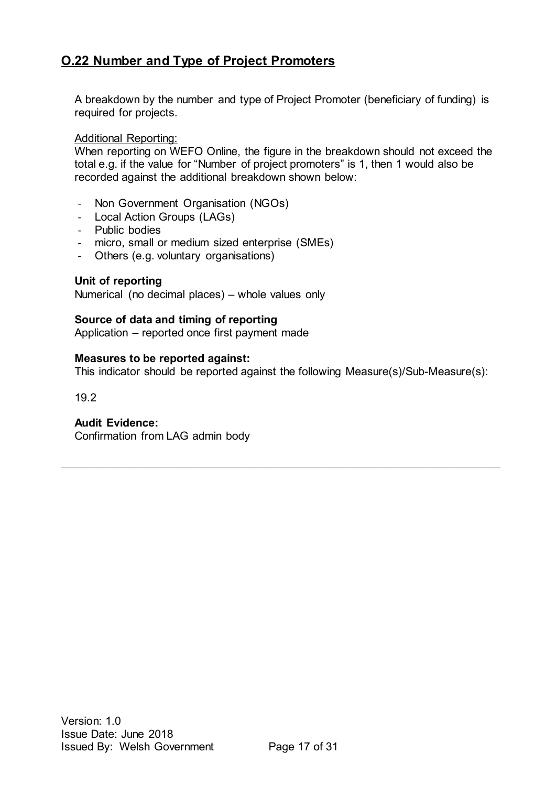## <span id="page-16-0"></span>**O.22 Number and Type of Project Promoters**

A breakdown by the number and type of Project Promoter (beneficiary of funding) is required for projects.

#### Additional Reporting:

When reporting on WEFO Online, the figure in the breakdown should not exceed the total e.g. if the value for "Number of project promoters" is 1, then 1 would also be recorded against the additional breakdown shown below:

- Non Government Organisation (NGOs)
- Local Action Groups (LAGs)
- Public bodies
- micro, small or medium sized enterprise (SMEs)
- Others (e.g. voluntary organisations)

#### **Unit of reporting**

Numerical (no decimal places) – whole values only

#### **Source of data and timing of reporting**

Application – reported once first payment made

#### **Measures to be reported against:**

This indicator should be reported against the following Measure(s)/Sub-Measure(s):

19.2

#### **Audit Evidence:**

Confirmation from LAG admin body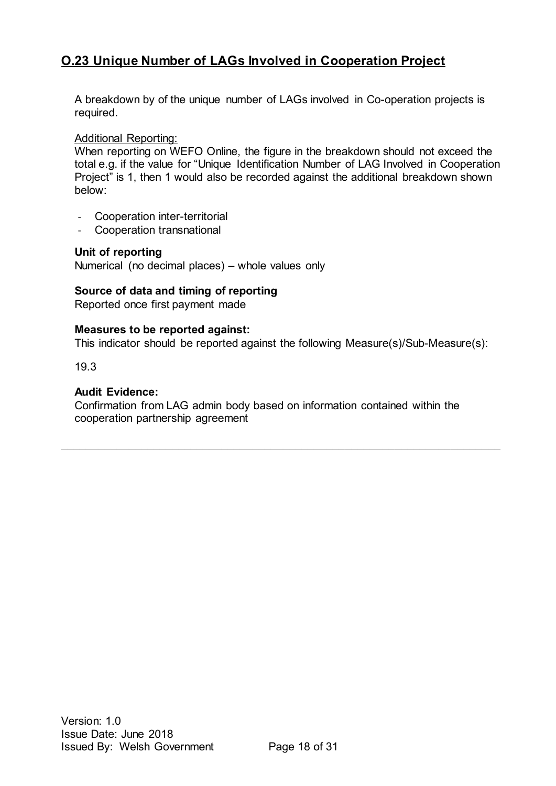## <span id="page-17-0"></span>**O.23 Unique Number of LAGs Involved in Cooperation Project**

A breakdown by of the unique number of LAGs involved in Co-operation projects is required.

Additional Reporting:

When reporting on WEFO Online, the figure in the breakdown should not exceed the total e.g. if the value for "Unique Identification Number of LAG Involved in Cooperation Project" is 1, then 1 would also be recorded against the additional breakdown shown below:

- Cooperation inter-territorial
- Cooperation transnational

#### **Unit of reporting**

Numerical (no decimal places) – whole values only

#### **Source of data and timing of reporting**

Reported once first payment made

#### **Measures to be reported against:**

This indicator should be reported against the following Measure(s)/Sub-Measure(s):

19.3

#### **Audit Evidence:**

Confirmation from LAG admin body based on information contained within the cooperation partnership agreement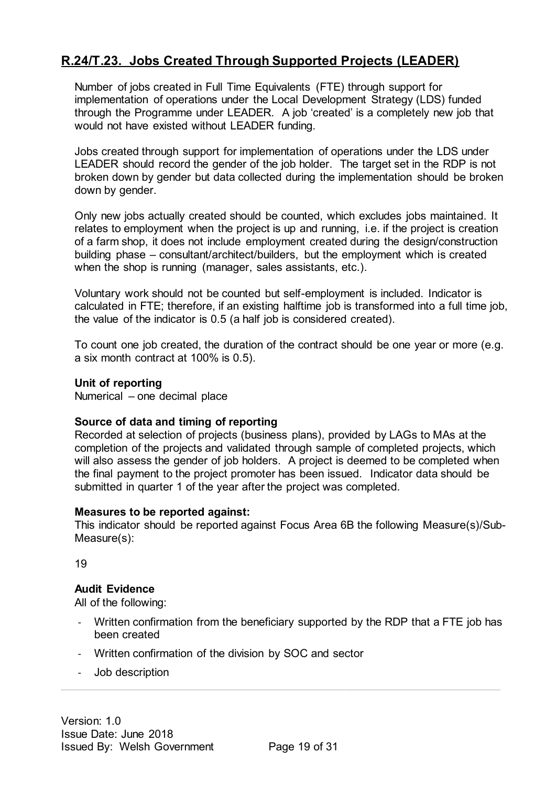## <span id="page-18-0"></span>**R.24/T.23. Jobs Created Through Supported Projects (LEADER)**

Number of jobs created in Full Time Equivalents (FTE) through support for implementation of operations under the Local Development Strategy (LDS) funded through the Programme under LEADER. A job 'created' is a completely new job that would not have existed without LEADER funding.

Jobs created through support for implementation of operations under the LDS under LEADER should record the gender of the job holder. The target set in the RDP is not broken down by gender but data collected during the implementation should be broken down by gender.

Only new jobs actually created should be counted, which excludes jobs maintained. It relates to employment when the project is up and running, i.e. if the project is creation of a farm shop, it does not include employment created during the design/construction building phase – consultant/architect/builders, but the employment which is created when the shop is running (manager, sales assistants, etc.).

Voluntary work should not be counted but self-employment is included. Indicator is calculated in FTE; therefore, if an existing halftime job is transformed into a full time job, the value of the indicator is 0.5 (a half job is considered created).

To count one job created, the duration of the contract should be one year or more (e.g. a six month contract at 100% is 0.5).

#### **Unit of reporting**

Numerical – one decimal place

#### **Source of data and timing of reporting**

Recorded at selection of projects (business plans), provided by LAGs to MAs at the completion of the projects and validated through sample of completed projects, which will also assess the gender of job holders. A project is deemed to be completed when the final payment to the project promoter has been issued. Indicator data should be submitted in quarter 1 of the year after the project was completed.

#### **Measures to be reported against:**

This indicator should be reported against Focus Area 6B the following Measure(s)/Sub-Measure(s):

19

#### **Audit Evidence**

- Written confirmation from the beneficiary supported by the RDP that a FTE job has been created
- Written confirmation of the division by SOC and sector
- Job description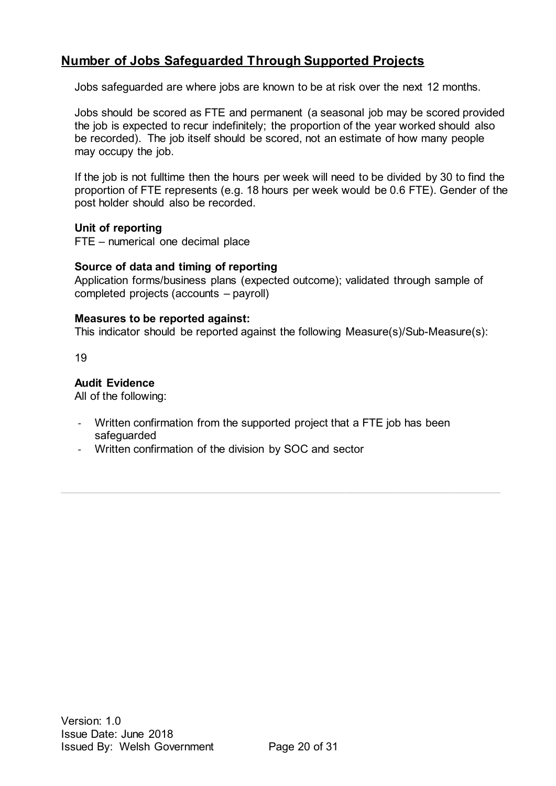## <span id="page-19-0"></span>**Number of Jobs Safeguarded Through Supported Projects**

Jobs safeguarded are where jobs are known to be at risk over the next 12 months.

Jobs should be scored as FTE and permanent (a seasonal job may be scored provided the job is expected to recur indefinitely; the proportion of the year worked should also be recorded). The job itself should be scored, not an estimate of how many people may occupy the job.

If the job is not fulltime then the hours per week will need to be divided by 30 to find the proportion of FTE represents (e.g. 18 hours per week would be 0.6 FTE). Gender of the post holder should also be recorded.

#### **Unit of reporting**

FTE – numerical one decimal place

#### **Source of data and timing of reporting**

Application forms/business plans (expected outcome); validated through sample of completed projects (accounts – payroll)

#### **Measures to be reported against:**

This indicator should be reported against the following Measure(s)/Sub-Measure(s):

19

#### **Audit Evidence**

- Written confirmation from the supported project that a FTE job has been safeguarded
- Written confirmation of the division by SOC and sector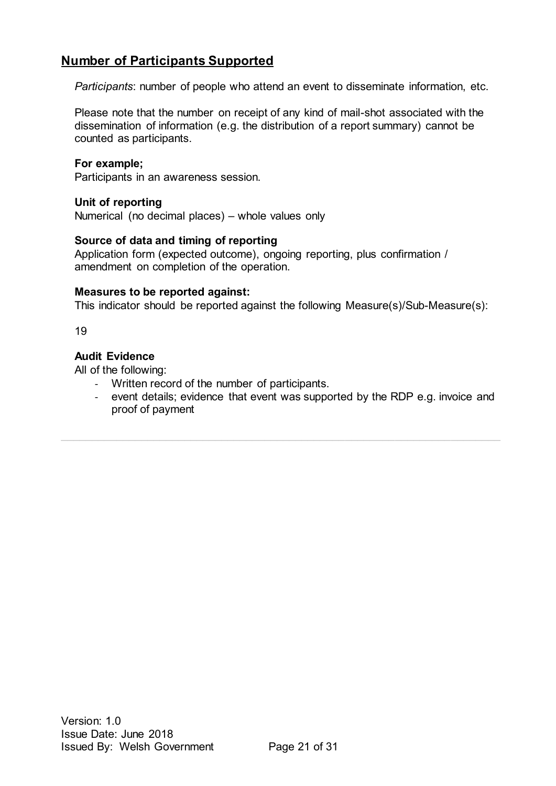## <span id="page-20-0"></span>**Number of Participants Supported**

*Participants*: number of people who attend an event to disseminate information, etc.

Please note that the number on receipt of any kind of mail-shot associated with the dissemination of information (e.g. the distribution of a report summary) cannot be counted as participants.

#### **For example;**

Participants in an awareness session.

#### **Unit of reporting**

Numerical (no decimal places) – whole values only

#### **Source of data and timing of reporting**

Application form (expected outcome), ongoing reporting, plus confirmation / amendment on completion of the operation.

#### **Measures to be reported against:**

This indicator should be reported against the following Measure(s)/Sub-Measure(s):

19

#### **Audit Evidence**

- Written record of the number of participants.
- event details; evidence that event was supported by the RDP e.g. invoice and proof of payment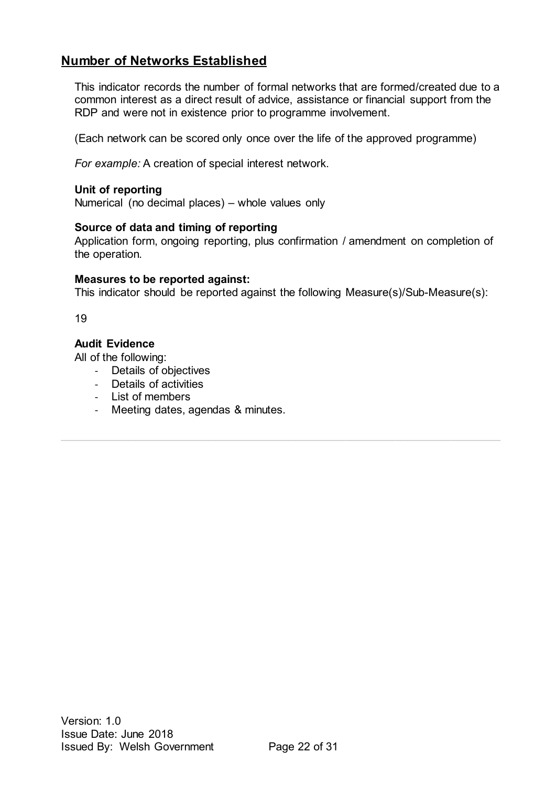## <span id="page-21-0"></span>**Number of Networks Established**

This indicator records the number of formal networks that are formed/created due to a common interest as a direct result of advice, assistance or financial support from the RDP and were not in existence prior to programme involvement.

(Each network can be scored only once over the life of the approved programme)

*For example:* A creation of special interest network.

#### **Unit of reporting**

Numerical (no decimal places) – whole values only

#### **Source of data and timing of reporting**

Application form, ongoing reporting, plus confirmation / amendment on completion of the operation.

#### **Measures to be reported against:**

This indicator should be reported against the following Measure(s)/Sub-Measure(s):

19

#### **Audit Evidence**

- Details of objectives
- Details of activities
- List of members
- Meeting dates, agendas & minutes.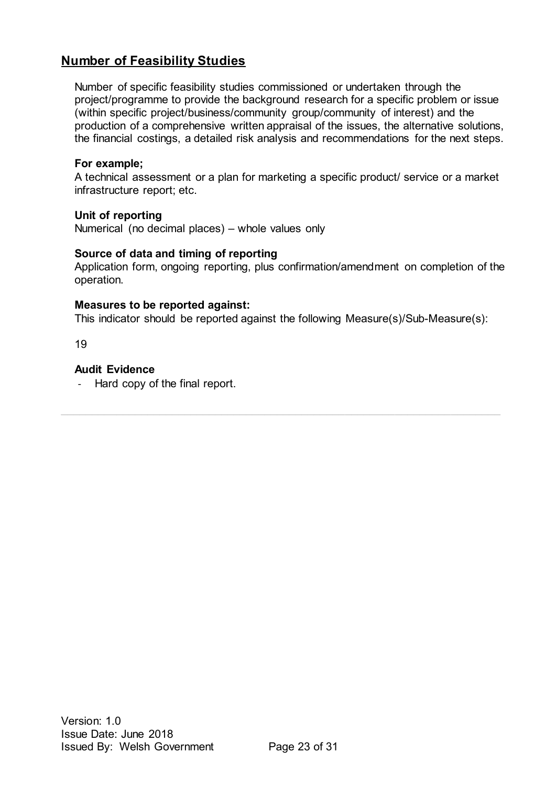## <span id="page-22-0"></span>**Number of Feasibility Studies**

Number of specific feasibility studies commissioned or undertaken through the project/programme to provide the background research for a specific problem or issue (within specific project/business/community group/community of interest) and the production of a comprehensive written appraisal of the issues, the alternative solutions, the financial costings, a detailed risk analysis and recommendations for the next steps.

#### **For example;**

A technical assessment or a plan for marketing a specific product/ service or a market infrastructure report; etc.

#### **Unit of reporting**

Numerical (no decimal places) – whole values only

#### **Source of data and timing of reporting**

Application form, ongoing reporting, plus confirmation/amendment on completion of the operation.

#### **Measures to be reported against:**

This indicator should be reported against the following Measure(s)/Sub-Measure(s):

19

#### **Audit Evidence**

- Hard copy of the final report.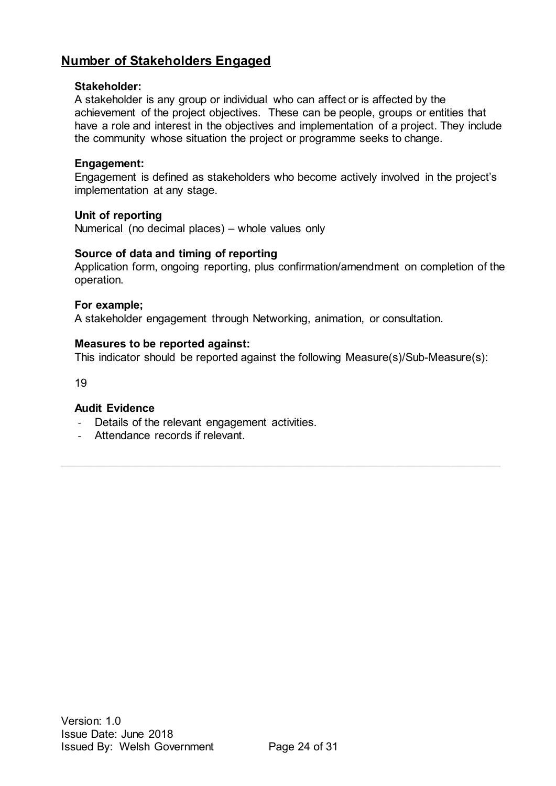## <span id="page-23-0"></span>**Number of Stakeholders Engaged**

#### **Stakeholder:**

A stakeholder is any group or individual who can affect or is affected by the achievement of the project objectives. These can be people, groups or entities that have a role and interest in the objectives and implementation of a project. They include the community whose situation the project or programme seeks to change.

#### **Engagement:**

Engagement is defined as stakeholders who become actively involved in the project's implementation at any stage.

#### **Unit of reporting**

Numerical (no decimal places) – whole values only

#### **Source of data and timing of reporting**

Application form, ongoing reporting, plus confirmation/amendment on completion of the operation.

#### **For example;**

A stakeholder engagement through Networking, animation, or consultation.

#### **Measures to be reported against:**

This indicator should be reported against the following Measure(s)/Sub-Measure(s):

19

#### **Audit Evidence**

- Details of the relevant engagement activities.
- Attendance records if relevant.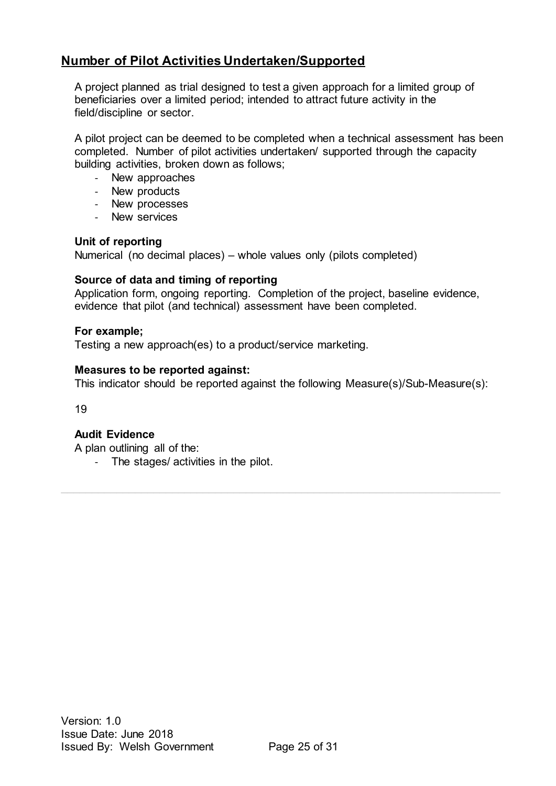## <span id="page-24-0"></span>**Number of Pilot Activities Undertaken/Supported**

A project planned as trial designed to test a given approach for a limited group of beneficiaries over a limited period; intended to attract future activity in the field/discipline or sector.

A pilot project can be deemed to be completed when a technical assessment has been completed. Number of pilot activities undertaken/ supported through the capacity building activities, broken down as follows;

- New approaches
- New products
- New processes
- New services

#### **Unit of reporting**

Numerical (no decimal places) – whole values only (pilots completed)

#### **Source of data and timing of reporting**

Application form, ongoing reporting. Completion of the project, baseline evidence, evidence that pilot (and technical) assessment have been completed.

#### **For example;**

Testing a new approach(es) to a product/service marketing.

#### **Measures to be reported against:**

This indicator should be reported against the following Measure(s)/Sub-Measure(s):

19

#### **Audit Evidence**

A plan outlining all of the:

- The stages/ activities in the pilot.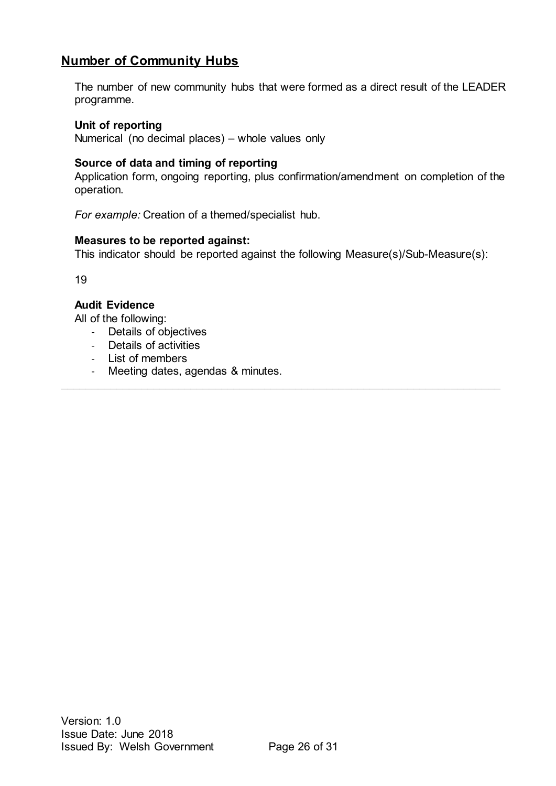## <span id="page-25-0"></span>**Number of Community Hubs**

The number of new community hubs that were formed as a direct result of the LEADER programme.

#### **Unit of reporting**

Numerical (no decimal places) – whole values only

#### **Source of data and timing of reporting**

Application form, ongoing reporting, plus confirmation/amendment on completion of the operation.

*For example:* Creation of a themed/specialist hub.

#### **Measures to be reported against:**

This indicator should be reported against the following Measure(s)/Sub-Measure(s):

 $\_$  , and the state of the state of the state of the state of the state of the state of the state of the state of the state of the state of the state of the state of the state of the state of the state of the state of the

19

#### **Audit Evidence**

- Details of objectives
- Details of activities
- List of members
- Meeting dates, agendas & minutes.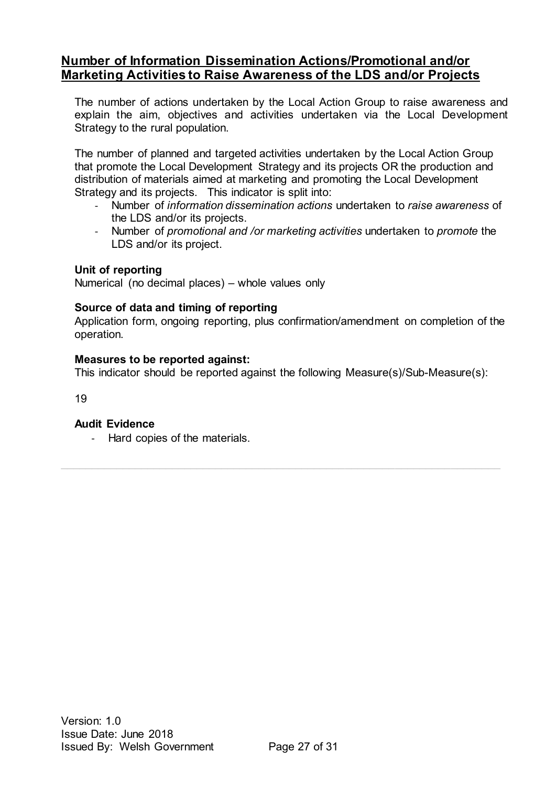### <span id="page-26-0"></span>**Number of Information Dissemination Actions/Promotional and/or Marketing Activities to Raise Awareness of the LDS and/or Projects**

The number of actions undertaken by the Local Action Group to raise awareness and explain the aim, objectives and activities undertaken via the Local Development Strategy to the rural population.

The number of planned and targeted activities undertaken by the Local Action Group that promote the Local Development Strategy and its projects OR the production and distribution of materials aimed at marketing and promoting the Local Development Strategy and its projects. This indicator is split into:

- Number of *information dissemination actions* undertaken to *raise awareness* of the LDS and/or its projects.
- Number of *promotional and /or marketing activities* undertaken to *promote* the LDS and/or its project.

#### **Unit of reporting**

Numerical (no decimal places) – whole values only

#### **Source of data and timing of reporting**

Application form, ongoing reporting, plus confirmation/amendment on completion of the operation.

#### **Measures to be reported against:**

This indicator should be reported against the following Measure(s)/Sub-Measure(s):

19

#### **Audit Evidence**

- Hard copies of the materials.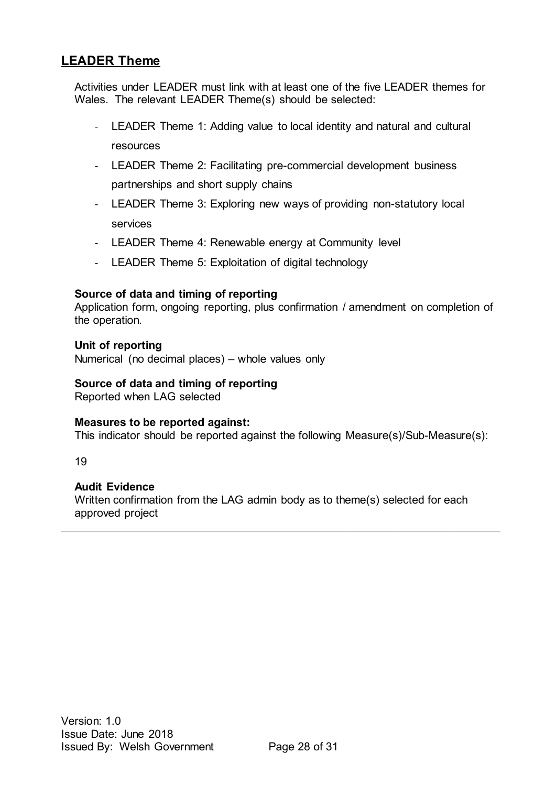## <span id="page-27-0"></span>**LEADER Theme**

Activities under LEADER must link with at least one of the five LEADER themes for Wales. The relevant LEADER Theme(s) should be selected:

- LEADER Theme 1: Adding value to local identity and natural and cultural resources
- LEADER Theme 2: Facilitating pre-commercial development business partnerships and short supply chains
- LEADER Theme 3: Exploring new ways of providing non-statutory local services
- LEADER Theme 4: Renewable energy at Community level
- LEADER Theme 5: Exploitation of digital technology

#### **Source of data and timing of reporting**

Application form, ongoing reporting, plus confirmation / amendment on completion of the operation.

#### **Unit of reporting**

Numerical (no decimal places) – whole values only

#### **Source of data and timing of reporting**

Reported when LAG selected

#### **Measures to be reported against:**

This indicator should be reported against the following Measure(s)/Sub-Measure(s):

19

#### **Audit Evidence**

Written confirmation from the LAG admin body as to theme(s) selected for each approved project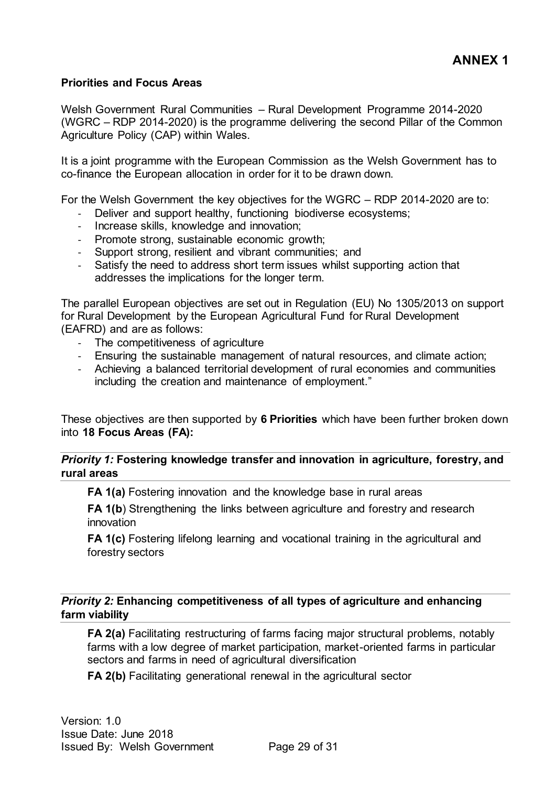#### <span id="page-28-1"></span><span id="page-28-0"></span>**Priorities and Focus Areas**

Welsh Government Rural Communities – Rural Development Programme 2014-2020 (WGRC – RDP 2014-2020) is the programme delivering the second Pillar of the Common Agriculture Policy (CAP) within Wales.

It is a joint programme with the European Commission as the Welsh Government has to co-finance the European allocation in order for it to be drawn down.

For the Welsh Government the key objectives for the WGRC – RDP 2014-2020 are to:

- Deliver and support healthy, functioning biodiverse ecosystems;
- Increase skills, knowledge and innovation;
- Promote strong, sustainable economic growth;
- Support strong, resilient and vibrant communities; and
- Satisfy the need to address short term issues whilst supporting action that addresses the implications for the longer term.

The parallel European objectives are set out in Regulation (EU) No 1305/2013 on support for Rural Development by the European Agricultural Fund for Rural Development (EAFRD) and are as follows:

- The competitiveness of agriculture
- Ensuring the sustainable management of natural resources, and climate action;
- Achieving a balanced territorial development of rural economies and communities including the creation and maintenance of employment."

These objectives are then supported by **6 Priorities** which have been further broken down into **18 Focus Areas (FA):**

*Priority 1:* **Fostering knowledge transfer and innovation in agriculture, forestry, and rural areas** 

**FA 1(a)** Fostering innovation and the knowledge base in rural areas

**FA 1(b**) Strengthening the links between agriculture and forestry and research innovation

**FA 1(c)** Fostering lifelong learning and vocational training in the agricultural and forestry sectors

#### *Priority 2:* **Enhancing competitiveness of all types of agriculture and enhancing farm viability**

**FA 2(a)** Facilitating restructuring of farms facing major structural problems, notably farms with a low degree of market participation, market-oriented farms in particular sectors and farms in need of agricultural diversification

**FA 2(b)** Facilitating generational renewal in the agricultural sector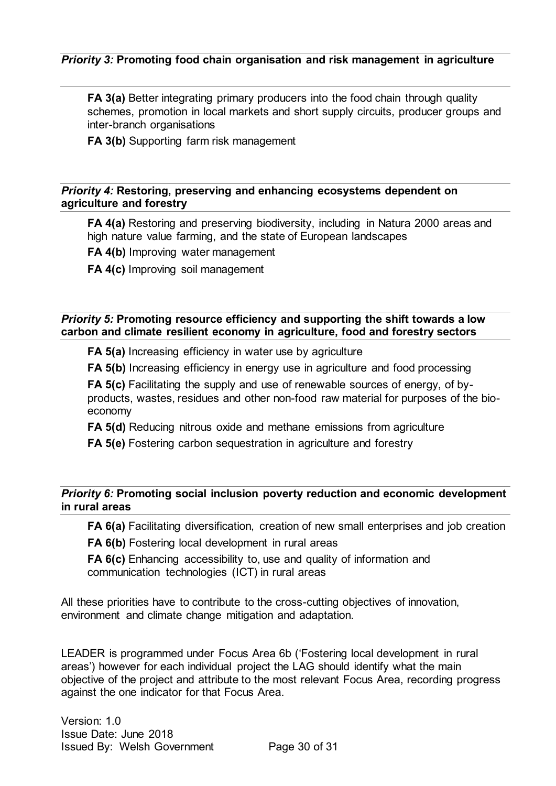#### *Priority 3:* **Promoting food chain organisation and risk management in agriculture**

**FA 3(a)** Better integrating primary producers into the food chain through quality schemes, promotion in local markets and short supply circuits, producer groups and inter-branch organisations

**FA 3(b)** Supporting farm risk management

#### *Priority 4:* **Restoring, preserving and enhancing ecosystems dependent on agriculture and forestry**

**FA 4(a)** Restoring and preserving biodiversity, including in Natura 2000 areas and high nature value farming, and the state of European landscapes

**FA 4(b)** Improving water management

**FA 4(c)** Improving soil management

#### *Priority 5:* **Promoting resource efficiency and supporting the shift towards a low carbon and climate resilient economy in agriculture, food and forestry sectors**

**FA 5(a)** Increasing efficiency in water use by agriculture

**FA 5(b)** Increasing efficiency in energy use in agriculture and food processing

**FA 5(c)** Facilitating the supply and use of renewable sources of energy, of byproducts, wastes, residues and other non-food raw material for purposes of the bioeconomy

**FA 5(d)** Reducing nitrous oxide and methane emissions from agriculture

**FA 5(e)** Fostering carbon sequestration in agriculture and forestry

#### *Priority 6:* **Promoting social inclusion poverty reduction and economic development in rural areas**

**FA 6(a)** Facilitating diversification, creation of new small enterprises and job creation

**FA 6(b)** Fostering local development in rural areas

**FA 6(c)** Enhancing accessibility to, use and quality of information and communication technologies (ICT) in rural areas

All these priorities have to contribute to the cross-cutting objectives of innovation, environment and climate change mitigation and adaptation.

LEADER is programmed under Focus Area 6b ('Fostering local development in rural areas') however for each individual project the LAG should identify what the main objective of the project and attribute to the most relevant Focus Area, recording progress against the one indicator for that Focus Area.